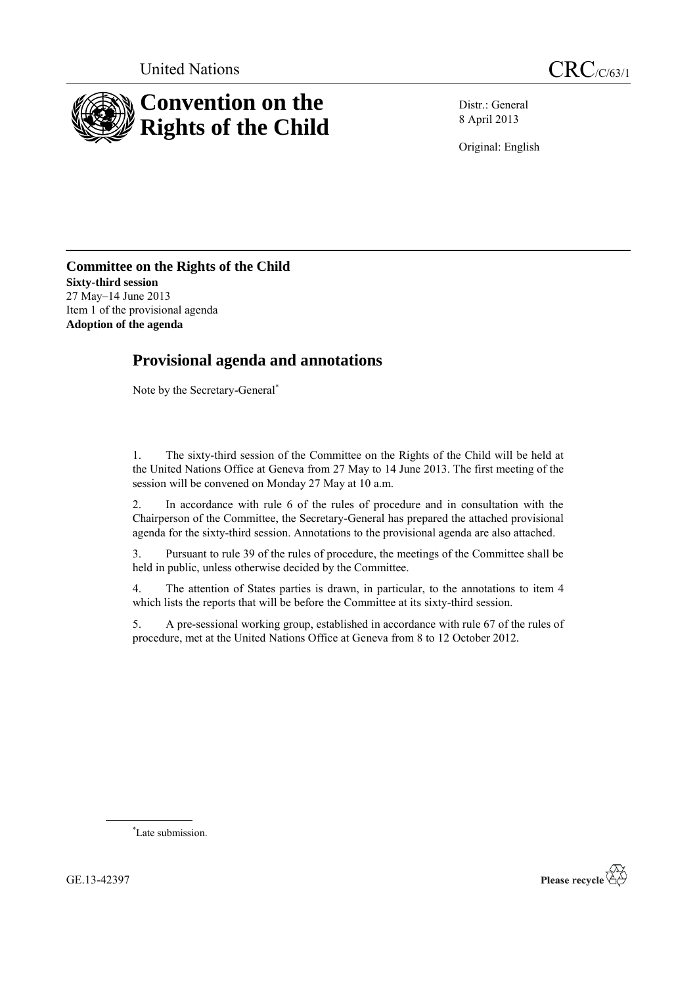



Distr.: General 8 April 2013

Original: English

**Committee on the Rights of the Child Sixty-third session** 27 May–14 June 2013 Item 1 of the provisional agenda **Adoption of the agenda**

# **Provisional agenda and annotations**

Note by the Secretary-General\*

1. The sixty-third session of the Committee on the Rights of the Child will be held at the United Nations Office at Geneva from 27 May to 14 June 2013. The first meeting of the session will be convened on Monday 27 May at 10 a.m.

2. In accordance with rule 6 of the rules of procedure and in consultation with the Chairperson of the Committee, the Secretary-General has prepared the attached provisional agenda for the sixty-third session. Annotations to the provisional agenda are also attached.

3. Pursuant to rule 39 of the rules of procedure, the meetings of the Committee shall be held in public, unless otherwise decided by the Committee.

4. The attention of States parties is drawn, in particular, to the annotations to item 4 which lists the reports that will be before the Committee at its sixty-third session.

5. A pre-sessional working group, established in accordance with rule 67 of the rules of procedure, met at the United Nations Office at Geneva from 8 to 12 October 2012*.*

\*Late submission.

GE.13-42397

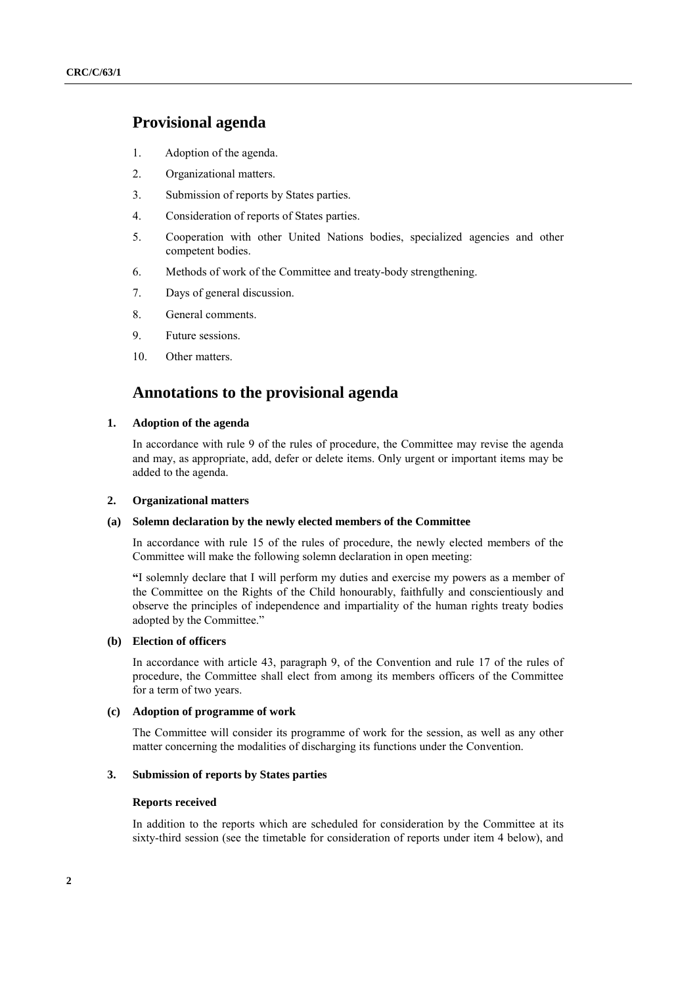## **Provisional agenda**

- 1. Adoption of the agenda.
- 2. Organizational matters.
- 3. Submission of reports by States parties.
- 4. Consideration of reports of States parties.
- 5. Cooperation with other United Nations bodies, specialized agencies and other competent bodies.
- 6. Methods of work of the Committee and treaty-body strengthening.
- 7. Days of general discussion.
- 8. General comments.
- 9. Future sessions.
- 10. Other matters.

## **Annotations to the provisional agenda**

#### **1. Adoption of the agenda**

In accordance with rule 9 of the rules of procedure, the Committee may revise the agenda and may, as appropriate, add, defer or delete items. Only urgent or important items may be added to the agenda.

#### **2. Organizational matters**

#### **(a) Solemn declaration by the newly elected members of the Committee**

In accordance with rule 15 of the rules of procedure, the newly elected members of the Committee will make the following solemn declaration in open meeting:

**"**I solemnly declare that I will perform my duties and exercise my powers as a member of the Committee on the Rights of the Child honourably, faithfully and conscientiously and observe the principles of independence and impartiality of the human rights treaty bodies adopted by the Committee."

## **(b) Election of officers**

In accordance with article 43, paragraph 9, of the Convention and rule 17 of the rules of procedure, the Committee shall elect from among its members officers of the Committee for a term of two years.

## **(c) Adoption of programme of work**

The Committee will consider its programme of work for the session, as well as any other matter concerning the modalities of discharging its functions under the Convention.

## **3. Submission of reports by States parties**

#### **Reports received**

In addition to the reports which are scheduled for consideration by the Committee at its sixty-third session (see the timetable for consideration of reports under item 4 below), and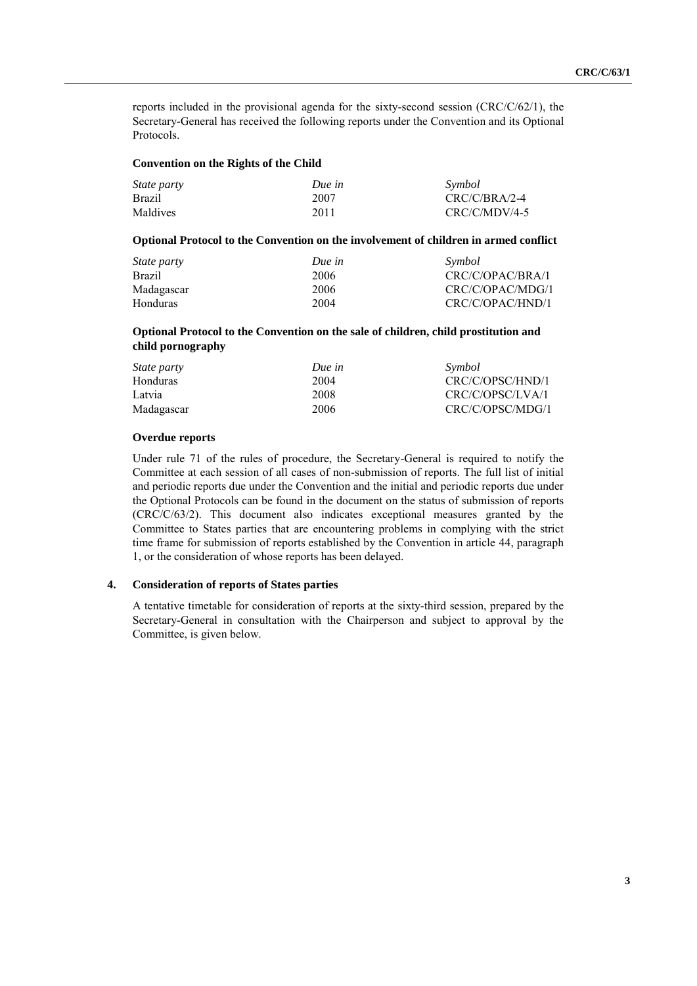reports included in the provisional agenda for the sixty-second session (CRC/C/62/1), the Secretary-General has received the following reports under the Convention and its Optional Protocols.

#### **Convention on the Rights of the Child**

| <i>State party</i> | Due in | Symbol          |
|--------------------|--------|-----------------|
| <b>Brazil</b>      | 2007   | $CRC/C/BRA/2-4$ |
| Maldives           | 2011   | $CRC/C/MDV/4-5$ |

#### **Optional Protocol to the Convention on the involvement of children in armed conflict**

| <i>State party</i> | Due in | Symbol           |
|--------------------|--------|------------------|
| <b>Brazil</b>      | 2006   | CRC/C/OPAC/BRA/1 |
| Madagascar         | 2006   | CRC/C/OPAC/MDG/1 |
| <b>Honduras</b>    | 2004   | CRC/C/OPAC/HND/1 |

## **Optional Protocol to the Convention on the sale of children, child prostitution and child pornography**

| Due in | Symbol           |
|--------|------------------|
| 2004   | CRC/C/OPSC/HND/1 |
| 2008   | CRC/C/OPSC/LVA/1 |
| 2006   | CRC/C/OPSC/MDG/1 |
|        |                  |

## **Overdue reports**

Under rule 71 of the rules of procedure, the Secretary-General is required to notify the Committee at each session of all cases of non-submission of reports. The full list of initial and periodic reports due under the Convention and the initial and periodic reports due under the Optional Protocols can be found in the document on the status of submission of reports (CRC/C/63/2). This document also indicates exceptional measures granted by the Committee to States parties that are encountering problems in complying with the strict time frame for submission of reports established by the Convention in article 44, paragraph 1, or the consideration of whose reports has been delayed.

## **4. Consideration of reports of States parties**

A tentative timetable for consideration of reports at the sixty-third session, prepared by the Secretary-General in consultation with the Chairperson and subject to approval by the Committee, is given below.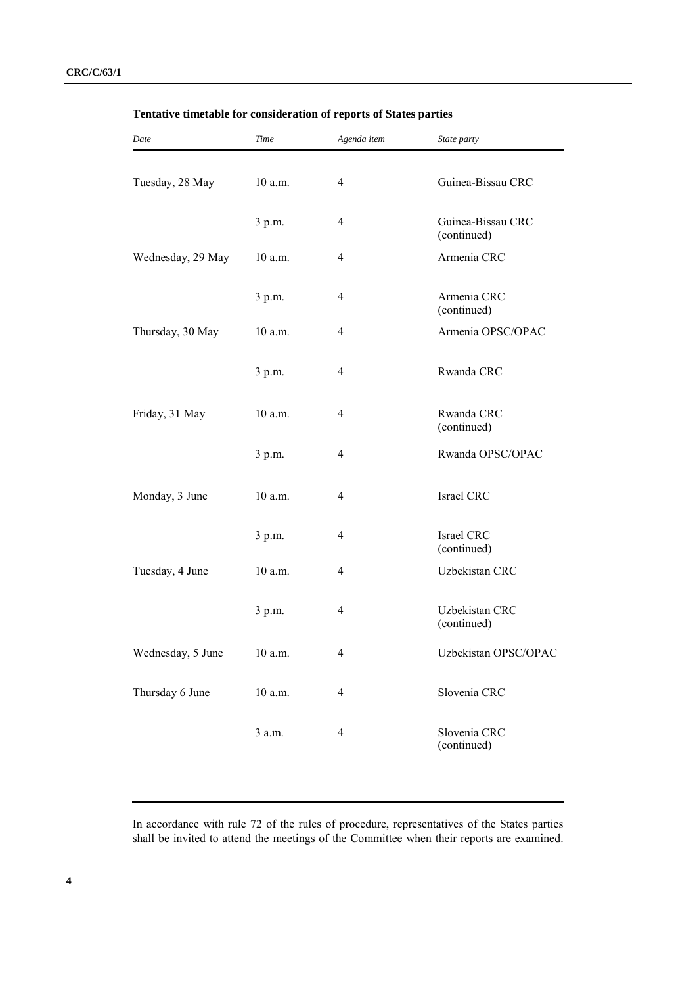| Date              | Time      | Agenda item    | State party                      |
|-------------------|-----------|----------------|----------------------------------|
| Tuesday, 28 May   | 10 a.m.   | $\overline{4}$ | Guinea-Bissau CRC                |
|                   | 3 p.m.    | $\overline{4}$ | Guinea-Bissau CRC<br>(continued) |
| Wednesday, 29 May | $10$ a.m. | $\overline{4}$ | Armenia CRC                      |
|                   | 3 p.m.    | 4              | Armenia CRC<br>(continued)       |
| Thursday, 30 May  | $10$ a.m. | $\overline{4}$ | Armenia OPSC/OPAC                |
|                   | 3 p.m.    | $\overline{4}$ | Rwanda CRC                       |
| Friday, 31 May    | 10 a.m.   | $\overline{4}$ | Rwanda CRC<br>(continued)        |
|                   | 3 p.m.    | $\overline{4}$ | Rwanda OPSC/OPAC                 |
| Monday, 3 June    | $10$ a.m. | $\overline{4}$ | Israel CRC                       |
|                   | 3 p.m.    | 4              | Israel CRC<br>(continued)        |
| Tuesday, 4 June   | $10$ a.m. | $\overline{4}$ | Uzbekistan CRC                   |
|                   | 3 p.m.    | 4              | Uzbekistan CRC<br>(continued)    |
| Wednesday, 5 June | 10 a.m.   | 4              | Uzbekistan OPSC/OPAC             |
| Thursday 6 June   | 10 a.m.   | $\overline{4}$ | Slovenia CRC                     |
|                   | 3 a.m.    | $\overline{4}$ | Slovenia CRC<br>(continued)      |

**Tentative timetable for consideration of reports of States parties**

In accordance with rule 72 of the rules of procedure, representatives of the States parties shall be invited to attend the meetings of the Committee when their reports are examined.